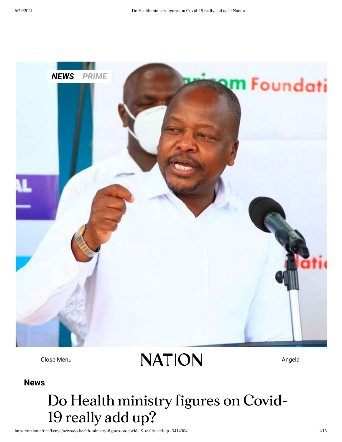

 $C$ lose Menu  $NATION$ 

*Joseph Kanyi | Nation Media Group* **[News](https://nation.africa/kenya/news)**

# **Do Health ministry figures on Covid-19 really add up?**

https://nation.africa/kenya/news/do-health-ministry-figures-on-covid-19-really-add-up--3414004 1/13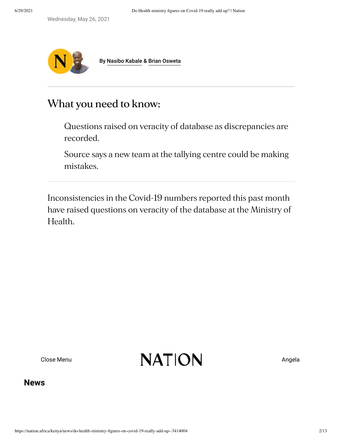Wednesday, May 26, 2021



By [Nasibo Kabale](https://nation.africa/kenya/nasibo-kabale-81018) & [Brian Osweta](https://nation.africa/kenya/author-profiles/brian-osweta-3276482)

# **What you need to know:**

Questions raised on veracity of database as discrepancies are recorded.

Source says a new team at the tallying centre could be making mistakes.

Inconsistencies in the Covid-19 numbers reported this past month have raised questions on veracity of the database at the Ministry of Health.

 $C$ lose Menu  $NATION$ 

### **[News](https://nation.africa/kenya/news)**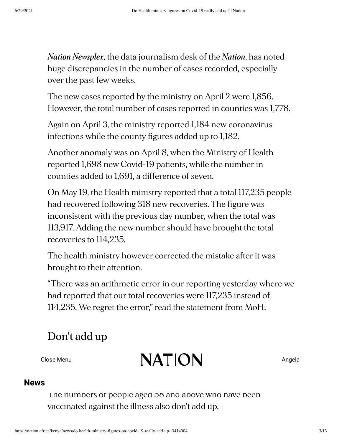*Nation Newsplex*, the data journalism desk of the *Nation*, has noted huge discrepancies in the number of cases recorded, especially over the past few weeks.

The new cases reported by the ministry on April 2 were 1,856. However, the total number of cases reported in counties was 1,778.

Again on April 3, the ministry reported 1,184 new coronavirus infections while the county figures added up to 1,182.

Another anomaly was on April 8, when the Ministry of Health reported 1,698 new Covid-19 patients, while the number in counties added to 1,691, a difference of seven.

On May 19, the Health ministry reported that a total 117,235 people had recovered following 318 new recoveries. The figure was inconsistent with the previous day number, when the total was 113,917. Adding the new number should have brought the total recoveries to 114,235.

The health ministry however corrected the mistake after it was brought to their attention.

"There was an arithmetic error in our reporting yesterday where we had reported that our total recoveries were 117,235 instead of 114,235. We regret the error," read the statement from MoH.

# **Don't add up**

 $\mathbb{N} \mathbf{A} \mathsf{T} \mathsf{I} \mathsf{O} \mathsf{N}$  Angela  $111111$ 

### **[News](https://nation.africa/kenya/news)**

I ne numbers of people aged 58 and above who have been vaccinated against the illness also don't add up.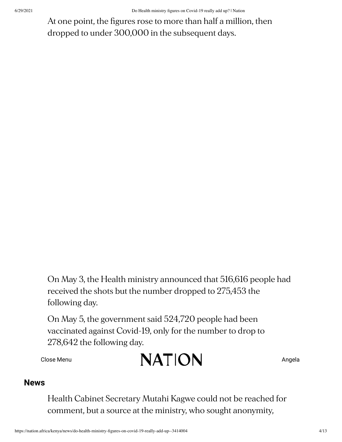At one point, the figures rose to more than half a million, then dropped to under 300,000 in the subsequent days.

On May 3, the Health ministry announced that 516,616 people had received the shots but the number dropped to 275,453 the following day.

On May 5, the government said 524,720 people had been vaccinated against Covid-19, only for the number to drop to 278,642 the following day.

$$
\mathbf{NATION} \qquad \qquad \mathbf{MATION}
$$

### **[News](https://nation.africa/kenya/news)**

Health Cabinet Secretary Mutahi Kagwe could not be reached for comment, but a source at the ministry, who sought anonymity,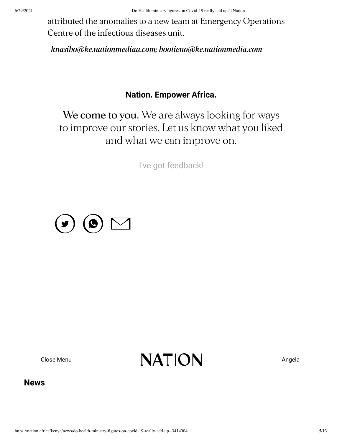attributed the anomalies to a new team at Emergency Operations Centre of the infectious diseases unit.

*knasibo@ke.nationmediaa.com; bootieno@ke.nationmedia.com*

### **Nation. Empower Africa.**

**We come to you.** We are always looking for ways to improve our stories. Let us know what you liked and what we can improve on.

I've got [feedback!](https://docs.google.com/forms/d/e/1FAIpQLSfOOJA0WUAChH42ijf4Xj1kVFuxGzwLEWYMpfHmzxqiWTh_ow/viewform?usp=pp_url&entry.582792058=Do%20Health%20ministry%20figures%20on%20Covid-19%20really%20add%20up%3F)



 $C$ lose Menu  $NATION$ 

### **[News](https://nation.africa/kenya/news)**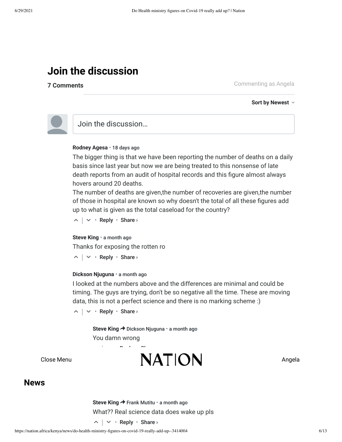# **Join the discussion**

**7 Comments**

[Commenting](https://nation.africa/kenya/account) as Angela

**Sort by Newest**



## Join the discussion…

#### **Rodney Agesa** • [18 days ago](https://nation.africa/kenya/news/do-health-ministry-figures-on-covid-19-really-add-up--3414004#comment-5415978779)

The bigger thing is that we have been reporting the number of deaths on a daily basis since last year but now we are being treated to this nonsense of late death reports from an audit of hospital records and this figure almost always hovers around 20 deaths.

The number of deaths are given,the number of recoveries are given,the number of those in hospital are known so why doesn't the total of all these figures add up to what is given as the total caseload for the country?

 $\wedge$  |  $\vee$  • Reply • Share ›

#### **Steve King** • [a month ago](https://nation.africa/kenya/news/do-health-ministry-figures-on-covid-19-really-add-up--3414004#comment-5400858464)

Thanks for exposing the rotten ro

 $\wedge$  |  $\vee$  • Reply • Share ›

#### **Dickson Njuguna** • [a month ago](https://nation.africa/kenya/news/do-health-ministry-figures-on-covid-19-really-add-up--3414004#comment-5400699816)

I looked at the numbers above and the differences are minimal and could be timing. The guys are trying, don't be so negative all the time. These are moving data, this is not a perfect science and there is no marking scheme :)

 $\wedge$  |  $\vee$  • Reply • Share ›

△ ▽

**Steve King → Dickson Njuguna · [a month ago](https://nation.africa/kenya/news/do-health-ministry-figures-on-covid-19-really-add-up--3414004#comment-5400861255)** You damn wrong

Share ›



### **[News](https://nation.africa/kenya/news)**

**Steve King → Frank Mutitu • [a month ago](https://nation.africa/kenya/news/do-health-ministry-figures-on-covid-19-really-add-up--3414004#comment-5400861540)** What?? Real science data does wake up pls

 $\wedge$  |  $\vee$  • Reply • Share ›

• Reply •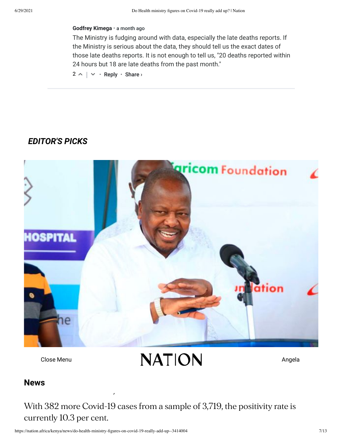#### **Godfrey Kimega** • [a month ago](https://nation.africa/kenya/news/do-health-ministry-figures-on-covid-19-really-add-up--3414004#comment-5397463519)

The Ministry is fudging around with data, especially the late deaths reports. If the Ministry is serious about the data, they should tell us the exact dates of those late deaths reports. It is not enough to tell us, "20 deaths reported within 24 hours but 18 are late deaths from the past month."

 $2 \wedge \vert \vee \cdot$  Reply  $\cdot$  Share >

## *EDITOR'S PICKS*



**Kenya reports nearly [169,000](https://nation.africa/kenya/news/kenya-reports-nearly-169-000-covid-cases-death-toll-of-3-087-3413572) Covid cases,**  $C$ lose Menu  $NATION$ 

### **death tollar tollar tollar tollar tollar tollar tollar tollar tollar tollar tollar tollar tollar tollar tollar tollar tollar tollar tollar tollar tollar tollar tollar tollar tollar tollar tollar tollar tollar tollar tol [News](https://nation.africa/kenya/news)**

With 382 more Covid-19 cases from a sample of 3,719, the positivity rate is currently 10.3 per cent.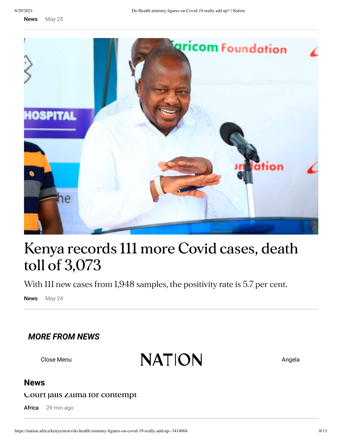News [May 25](https://nation.africa/kenya/news/kenya-reports-nearly-169-000-covid-cases-death-toll-of-3-087-3413572)



# **Kenya [records](https://nation.africa/kenya/news/kenya-records-111-more-covid-cases-death-toll-of-3-073-3412100) 111 more Covid cases, death toll of 3,073**

With 111 new cases from 1,948 samples, the positivity rate is 5.7 per cent.

News May 24

## *MORE [FROM](https://nation.africa/kenya/news) NEWS*

**Close Menu by ALL Close Menu Angela** 

### **[News](https://nation.africa/kenya/news)**

### **Court jails Zuma for [contempt](https://nation.africa/kenya/news/africa/court-jails-zuma-for-contempt--3454616)**

Africa 29 min ago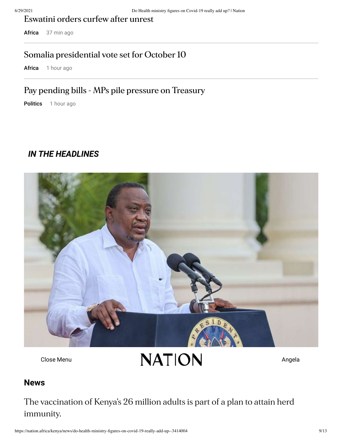**[Eswatini](https://nation.africa/kenya/news/africa/eswatini-orders-curfew-internet-shutdown-curfew-after-unrest--3455278) orders curfew after unrest**

Africa 37 min ago

### **Somalia [presidential](https://nation.africa/kenya/news/africa/somalia-issues-election-calendar-presidential-vote-set-for-october-10-3455214) vote set for October 10**

Africa 1 hour ago

## **Pay pending bills - MPs pile pressure on [Treasury](https://nation.africa/kenya/news/politics/pay-pending-bills-mps-pile-pressure-on-treasury-3455242)**

Politics 1 hour ago

### *IN THE [HEADLINES](https://nation.africa/kenya)*



 $C$ lose Menu  $NATION$ 

### **['All](https://nation.africa/kenya/news) Kenyan adults to be [vaccinated](https://nation.africa/kenya/news/covid-19-all-kenyan-adults-to-be-vaccinated-by-2022-uhuru-says-3455128) by 2022' News**

The vaccination of Kenya's 26 million adults is part of a plan to attain herd immunity.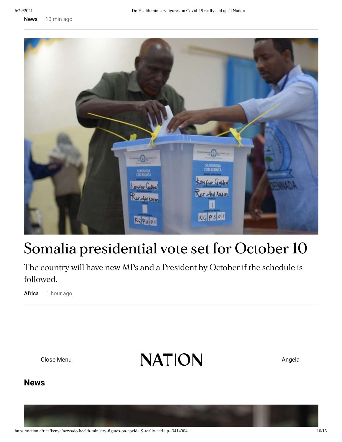News [10 min ago](https://nation.africa/kenya/news/covid-19-all-kenyan-adults-to-be-vaccinated-by-2022-uhuru-says-3455128)



# **Somalia [presidential](https://nation.africa/kenya/news/africa/somalia-issues-election-calendar-presidential-vote-set-for-october-10-3455214) vote set for October 10**

The country will have new MPs and a President by October if the schedule is followed.

Africa 1 hour ago

 $C$ lose Menu  $NATION$ 

**[News](https://nation.africa/kenya/news/covid-in-kenya-president-uhuru-kenyatta-s-full-speech-3455096)**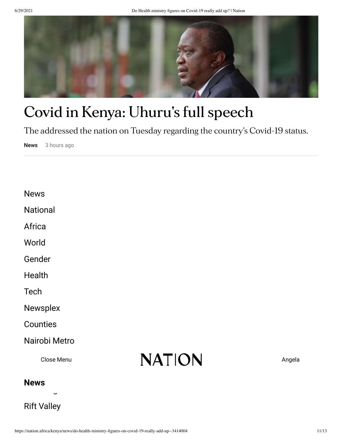

# **Covid in Kenya: Uhuru 's full [speech](https://nation.africa/kenya/news/covid-in-kenya-president-uhuru-kenyatta-s-full-speech-3455096)**

The addressed the nation on Tuesday regarding the country's Covid-19 status.

News 3 hours ago

| <b>News</b> |
|-------------|
|-------------|

[National](https://nation.africa/kenya/news/national)

[Africa](https://nation.africa/kenya/news/africa)

[World](https://nation.africa/kenya/news/world)

[Gender](https://nation.africa/kenya/news/gender)

**[Health](https://nation.africa/kenya/news/health)** 

**[Tech](https://nation.africa/kenya/news/tech)** 

[Newsplex](https://nation.africa/kenya/news/newsplex)

**[Counties](https://nation.africa/kenya/counties)** 

### [Nairobi](https://nation.africa/kenya/counties/nairobi-metro) Metro

Close Menu



### Lake [Region](https://nation.africa/kenya/counties/lake-region) **[News](https://nation.africa/kenya/news)**

Rift [Valley](https://nation.africa/kenya/counties/rift-valley)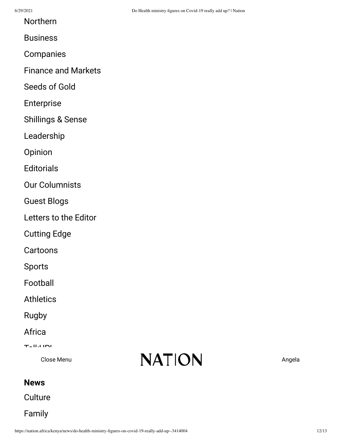[Northern](https://nation.africa/kenya/counties/northern)

[Companies](https://nation.africa/kenya/business/companies)

Finance and [Markets](https://nation.africa/kenya/business/finance-and-markets)

[Seeds](https://nation.africa/kenya/business/seeds-of-gold) of Gold

[Enterprise](https://nation.africa/kenya/business/enterprise)

[Shillings](https://nation.africa/kenya/business/shillings-sense) & Sense

[Leadership](https://nation.africa/kenya/business/leadership)

[Opinion](https://nation.africa/kenya/blogs-opinion)

**[Editorials](https://nation.africa/kenya/blogs-opinion/editorials)** 

Our [Columnists](https://nation.africa/kenya/blogs-opinion/opinion)

[Guest](https://nation.africa/kenya/blogs-opinion/blogs) Blogs

[Letters](https://nation.africa/kenya/blogs-opinion/letters) to the Editor

[Cutting](https://nation.africa/kenya/blogs-opinion/cutting-edge) Edge

[Cartoons](https://nation.africa/kenya/blogs-opinion/cartoons)

[Sports](https://nation.africa/kenya/sports)

[Football](https://nation.africa/kenya/sports/football)

**[Athletics](https://nation.africa/kenya/sports/athletics)** 

[Rugby](https://nation.africa/kenya/sports/rugby)

[Africa](https://nation.africa/kenya/sports/africa)

 $T$  U UP!

Orbec *Menu* 

# $C$ lose Menu  $NATION$

# **[News](https://nation.africa/kenya/news)**

**[Culture](https://nation.africa/kenya/life-and-style/culture)** 

[Family](https://nation.africa/kenya/life-and-style/family)